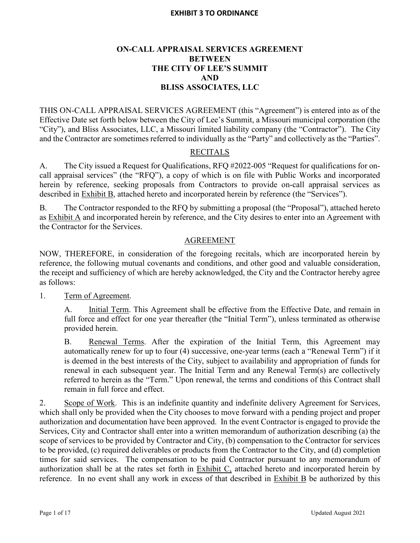# **ON-CALL APPRAISAL SERVICES AGREEMENT BETWEEN THE CITY OF LEE'S SUMMIT AND BLISS ASSOCIATES, LLC**

THIS ON-CALL APPRAISAL SERVICES AGREEMENT (this "Agreement") is entered into as of the Effective Date set forth below between the City of Lee's Summit, a Missouri municipal corporation (the "City"), and Bliss Associates, LLC, a Missouri limited liability company (the "Contractor"). The City and the Contractor are sometimes referred to individually as the "Party" and collectively as the "Parties".

# RECITALS

A. The City issued a Request for Qualifications, RFQ #2022-005 "Request for qualifications for oncall appraisal services" (the "RFQ"), a copy of which is on file with Public Works and incorporated herein by reference, seeking proposals from Contractors to provide on-call appraisal services as described in Exhibit B, attached hereto and incorporated herein by reference (the "Services").

B. The Contractor responded to the RFQ by submitting a proposal (the "Proposal"), attached hereto as Exhibit A and incorporated herein by reference, and the City desires to enter into an Agreement with the Contractor for the Services.

# AGREEMENT

NOW, THEREFORE, in consideration of the foregoing recitals, which are incorporated herein by reference, the following mutual covenants and conditions, and other good and valuable consideration, the receipt and sufficiency of which are hereby acknowledged, the City and the Contractor hereby agree as follows:

1. Term of Agreement.

A. Initial Term. This Agreement shall be effective from the Effective Date, and remain in full force and effect for one year thereafter (the "Initial Term"), unless terminated as otherwise provided herein.

B. Renewal Terms. After the expiration of the Initial Term, this Agreement may automatically renew for up to four (4) successive, one-year terms (each a "Renewal Term") if it is deemed in the best interests of the City, subject to availability and appropriation of funds for renewal in each subsequent year. The Initial Term and any Renewal Term(s) are collectively referred to herein as the "Term." Upon renewal, the terms and conditions of this Contract shall remain in full force and effect.

2. Scope of Work. This is an indefinite quantity and indefinite delivery Agreement for Services, which shall only be provided when the City chooses to move forward with a pending project and proper authorization and documentation have been approved. In the event Contractor is engaged to provide the Services, City and Contractor shall enter into a written memorandum of authorization describing (a) the scope of services to be provided by Contractor and City, (b) compensation to the Contractor for services to be provided, (c) required deliverables or products from the Contractor to the City, and (d) completion times for said services. The compensation to be paid Contractor pursuant to any memorandum of authorization shall be at the rates set forth in Exhibit C, attached hereto and incorporated herein by reference. In no event shall any work in excess of that described in  $Exhibit B$  be authorized by this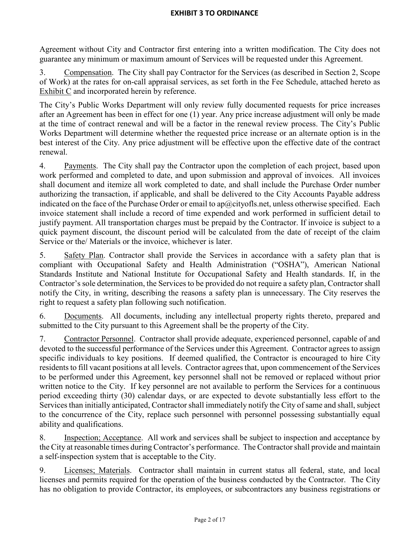Agreement without City and Contractor first entering into a written modification. The City does not guarantee any minimum or maximum amount of Services will be requested under this Agreement.

3. Compensation. The City shall pay Contractor for the Services (as described in Section 2, Scope of Work) at the rates for on-call appraisal services, as set forth in the Fee Schedule, attached hereto as Exhibit C and incorporated herein by reference.

The City's Public Works Department will only review fully documented requests for price increases after an Agreement has been in effect for one (1) year. Any price increase adjustment will only be made at the time of contract renewal and will be a factor in the renewal review process. The City's Public Works Department will determine whether the requested price increase or an alternate option is in the best interest of the City. Any price adjustment will be effective upon the effective date of the contract renewal.

4. Payments. The City shall pay the Contractor upon the completion of each project, based upon work performed and completed to date, and upon submission and approval of invoices. All invoices shall document and itemize all work completed to date, and shall include the Purchase Order number authorizing the transaction, if applicable, and shall be delivered to the City Accounts Payable address indicated on the face of the Purchase Order or email to ap $@c$ ityofls.net, unless otherwise specified. Each invoice statement shall include a record of time expended and work performed in sufficient detail to justify payment. All transportation charges must be prepaid by the Contractor. If invoice is subject to a quick payment discount, the discount period will be calculated from the date of receipt of the claim Service or the/ Materials or the invoice, whichever is later.

5. Safety Plan. Contractor shall provide the Services in accordance with a safety plan that is compliant with Occupational Safety and Health Administration ("OSHA"), American National Standards Institute and National Institute for Occupational Safety and Health standards. If, in the Contractor's sole determination, the Services to be provided do not require a safety plan, Contractor shall notify the City, in writing, describing the reasons a safety plan is unnecessary. The City reserves the right to request a safety plan following such notification.

6. Documents. All documents, including any intellectual property rights thereto, prepared and submitted to the City pursuant to this Agreement shall be the property of the City.

7. Contractor Personnel. Contractor shall provide adequate, experienced personnel, capable of and devoted to the successful performance of the Services under this Agreement. Contractor agrees to assign specific individuals to key positions. If deemed qualified, the Contractor is encouraged to hire City residents to fill vacant positions at all levels. Contractor agrees that, upon commencement of the Services to be performed under this Agreement, key personnel shall not be removed or replaced without prior written notice to the City. If key personnel are not available to perform the Services for a continuous period exceeding thirty (30) calendar days, or are expected to devote substantially less effort to the Services than initially anticipated, Contractor shall immediately notify the City of same and shall, subject to the concurrence of the City, replace such personnel with personnel possessing substantially equal ability and qualifications.

8. Inspection; Acceptance. All work and services shall be subject to inspection and acceptance by the City at reasonable times during Contractor's performance. The Contractor shall provide and maintain a self-inspection system that is acceptable to the City.

9. Licenses; Materials. Contractor shall maintain in current status all federal, state, and local licenses and permits required for the operation of the business conducted by the Contractor. The City has no obligation to provide Contractor, its employees, or subcontractors any business registrations or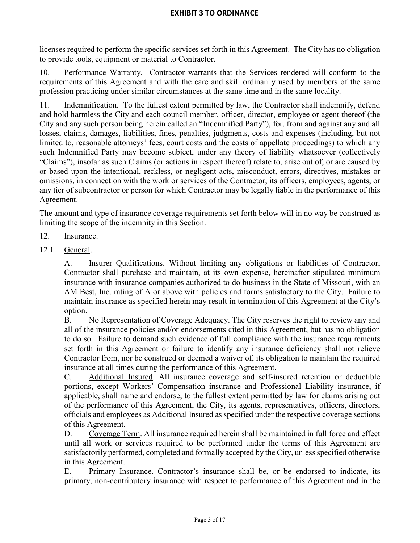licenses required to perform the specific services set forth in this Agreement. The City has no obligation to provide tools, equipment or material to Contractor.

10. Performance Warranty. Contractor warrants that the Services rendered will conform to the requirements of this Agreement and with the care and skill ordinarily used by members of the same profession practicing under similar circumstances at the same time and in the same locality.

11. Indemnification. To the fullest extent permitted by law, the Contractor shall indemnify, defend and hold harmless the City and each council member, officer, director, employee or agent thereof (the City and any such person being herein called an "Indemnified Party"), for, from and against any and all losses, claims, damages, liabilities, fines, penalties, judgments, costs and expenses (including, but not limited to, reasonable attorneys' fees, court costs and the costs of appellate proceedings) to which any such Indemnified Party may become subject, under any theory of liability whatsoever (collectively "Claims"), insofar as such Claims (or actions in respect thereof) relate to, arise out of, or are caused by or based upon the intentional, reckless, or negligent acts, misconduct, errors, directives, mistakes or omissions, in connection with the work or services of the Contractor, its officers, employees, agents, or any tier of subcontractor or person for which Contractor may be legally liable in the performance of this Agreement.

The amount and type of insurance coverage requirements set forth below will in no way be construed as limiting the scope of the indemnity in this Section.

- 12. Insurance.
- 12.1 General.

A. Insurer Qualifications. Without limiting any obligations or liabilities of Contractor, Contractor shall purchase and maintain, at its own expense, hereinafter stipulated minimum insurance with insurance companies authorized to do business in the State of Missouri, with an AM Best, Inc. rating of A or above with policies and forms satisfactory to the City. Failure to maintain insurance as specified herein may result in termination of this Agreement at the City's option.

B. No Representation of Coverage Adequacy. The City reserves the right to review any and all of the insurance policies and/or endorsements cited in this Agreement, but has no obligation to do so. Failure to demand such evidence of full compliance with the insurance requirements set forth in this Agreement or failure to identify any insurance deficiency shall not relieve Contractor from, nor be construed or deemed a waiver of, its obligation to maintain the required insurance at all times during the performance of this Agreement.

C. Additional Insured. All insurance coverage and self-insured retention or deductible portions, except Workers' Compensation insurance and Professional Liability insurance, if applicable, shall name and endorse, to the fullest extent permitted by law for claims arising out of the performance of this Agreement, the City, its agents, representatives, officers, directors, officials and employees as Additional Insured as specified under the respective coverage sections of this Agreement.

D. Coverage Term. All insurance required herein shall be maintained in full force and effect until all work or services required to be performed under the terms of this Agreement are satisfactorily performed, completed and formally accepted by the City, unless specified otherwise in this Agreement.

E. Primary Insurance. Contractor's insurance shall be, or be endorsed to indicate, its primary, non-contributory insurance with respect to performance of this Agreement and in the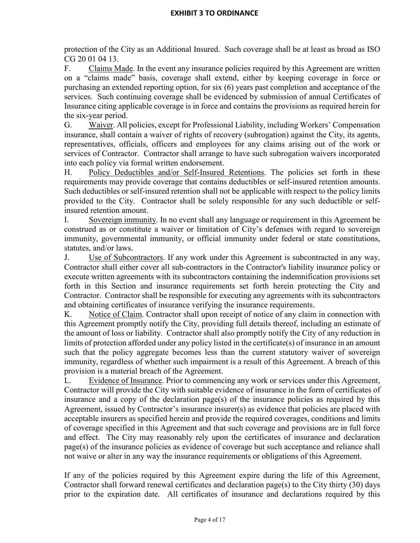protection of the City as an Additional Insured. Such coverage shall be at least as broad as ISO CG 20 01 04 13.

F. Claims Made. In the event any insurance policies required by this Agreement are written on a "claims made" basis, coverage shall extend, either by keeping coverage in force or purchasing an extended reporting option, for six (6) years past completion and acceptance of the services. Such continuing coverage shall be evidenced by submission of annual Certificates of Insurance citing applicable coverage is in force and contains the provisions as required herein for the six-year period.

G. Waiver. All policies, except for Professional Liability, including Workers' Compensation insurance, shall contain a waiver of rights of recovery (subrogation) against the City, its agents, representatives, officials, officers and employees for any claims arising out of the work or services of Contractor. Contractor shall arrange to have such subrogation waivers incorporated into each policy via formal written endorsement.

H. Policy Deductibles and/or Self-Insured Retentions. The policies set forth in these requirements may provide coverage that contains deductibles or self-insured retention amounts. Such deductibles or self-insured retention shall not be applicable with respect to the policy limits provided to the City. Contractor shall be solely responsible for any such deductible or selfinsured retention amount.

I. Sovereign immunity. In no event shall any language or requirement in this Agreement be construed as or constitute a waiver or limitation of City's defenses with regard to sovereign immunity, governmental immunity, or official immunity under federal or state constitutions, statutes, and/or laws.

J. Use of Subcontractors. If any work under this Agreement is subcontracted in any way, Contractor shall either cover all sub-contractors in the Contractor's liability insurance policy or execute written agreements with its subcontractors containing the indemnification provisions set forth in this Section and insurance requirements set forth herein protecting the City and Contractor. Contractor shall be responsible for executing any agreements with its subcontractors and obtaining certificates of insurance verifying the insurance requirements.

K. Notice of Claim. Contractor shall upon receipt of notice of any claim in connection with this Agreement promptly notify the City, providing full details thereof, including an estimate of the amount of loss or liability. Contractor shall also promptly notify the City of any reduction in limits of protection afforded under any policy listed in the certificate(s) of insurance in an amount such that the policy aggregate becomes less than the current statutory waiver of sovereign immunity, regardless of whether such impairment is a result of this Agreement. A breach of this provision is a material breach of the Agreement.

L. Evidence of Insurance. Prior to commencing any work or services under this Agreement, Contractor will provide the City with suitable evidence of insurance in the form of certificates of insurance and a copy of the declaration page(s) of the insurance policies as required by this Agreement, issued by Contractor's insurance insurer(s) as evidence that policies are placed with acceptable insurers as specified herein and provide the required coverages, conditions and limits of coverage specified in this Agreement and that such coverage and provisions are in full force and effect. The City may reasonably rely upon the certificates of insurance and declaration page(s) of the insurance policies as evidence of coverage but such acceptance and reliance shall not waive or alter in any way the insurance requirements or obligations of this Agreement.

If any of the policies required by this Agreement expire during the life of this Agreement, Contractor shall forward renewal certificates and declaration page(s) to the City thirty (30) days prior to the expiration date. All certificates of insurance and declarations required by this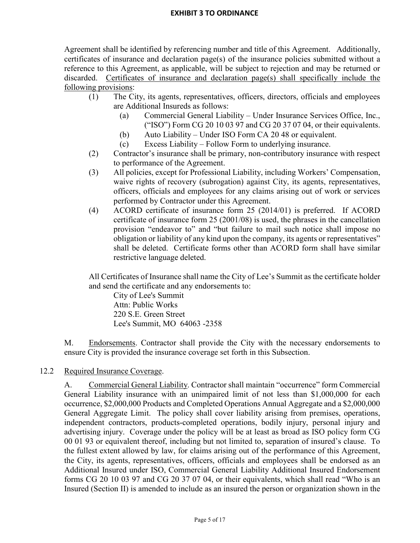Agreement shall be identified by referencing number and title of this Agreement. Additionally, certificates of insurance and declaration page(s) of the insurance policies submitted without a reference to this Agreement, as applicable, will be subject to rejection and may be returned or discarded. Certificates of insurance and declaration page(s) shall specifically include the following provisions:

- (1) The City, its agents, representatives, officers, directors, officials and employees are Additional Insureds as follows:
	- (a) Commercial General Liability Under Insurance Services Office, Inc., ("ISO") Form CG 20 10 03 97 and CG 20 37 07 04, or their equivalents.
	- (b) Auto Liability Under ISO Form CA 20 48 or equivalent.
	- (c) Excess Liability Follow Form to underlying insurance.
- (2) Contractor's insurance shall be primary, non-contributory insurance with respect to performance of the Agreement.
- (3) All policies, except for Professional Liability, including Workers' Compensation, waive rights of recovery (subrogation) against City, its agents, representatives, officers, officials and employees for any claims arising out of work or services performed by Contractor under this Agreement.
- (4) ACORD certificate of insurance form 25 (2014/01) is preferred. If ACORD certificate of insurance form 25 (2001/08) is used, the phrases in the cancellation provision "endeavor to" and "but failure to mail such notice shall impose no obligation or liability of any kind upon the company, its agents or representatives" shall be deleted. Certificate forms other than ACORD form shall have similar restrictive language deleted.

All Certificates of Insurance shall name the City of Lee's Summit as the certificate holder and send the certificate and any endorsements to:

City of Lee's Summit Attn: Public Works 220 S.E. Green Street Lee's Summit, MO 64063 -2358

M. Endorsements. Contractor shall provide the City with the necessary endorsements to ensure City is provided the insurance coverage set forth in this Subsection.

### 12.2 Required Insurance Coverage.

A. Commercial General Liability. Contractor shall maintain "occurrence" form Commercial General Liability insurance with an unimpaired limit of not less than \$1,000,000 for each occurrence, \$2,000,000 Products and Completed Operations Annual Aggregate and a \$2,000,000 General Aggregate Limit. The policy shall cover liability arising from premises, operations, independent contractors, products-completed operations, bodily injury, personal injury and advertising injury. Coverage under the policy will be at least as broad as ISO policy form CG 00 01 93 or equivalent thereof, including but not limited to, separation of insured's clause. To the fullest extent allowed by law, for claims arising out of the performance of this Agreement, the City, its agents, representatives, officers, officials and employees shall be endorsed as an Additional Insured under ISO, Commercial General Liability Additional Insured Endorsement forms CG 20 10 03 97 and CG 20 37 07 04, or their equivalents, which shall read "Who is an Insured (Section II) is amended to include as an insured the person or organization shown in the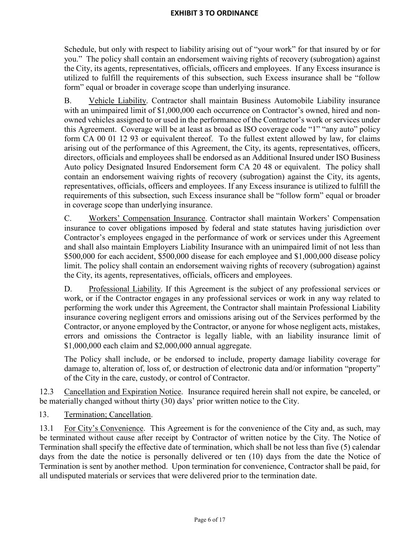Schedule, but only with respect to liability arising out of "your work" for that insured by or for you." The policy shall contain an endorsement waiving rights of recovery (subrogation) against the City, its agents, representatives, officials, officers and employees. If any Excess insurance is utilized to fulfill the requirements of this subsection, such Excess insurance shall be "follow form" equal or broader in coverage scope than underlying insurance.

B. Vehicle Liability. Contractor shall maintain Business Automobile Liability insurance with an unimpaired limit of \$1,000,000 each occurrence on Contractor's owned, hired and nonowned vehicles assigned to or used in the performance of the Contractor's work or services under this Agreement. Coverage will be at least as broad as ISO coverage code "1" "any auto" policy form CA 00 01 12 93 or equivalent thereof. To the fullest extent allowed by law, for claims arising out of the performance of this Agreement, the City, its agents, representatives, officers, directors, officials and employees shall be endorsed as an Additional Insured under ISO Business Auto policy Designated Insured Endorsement form CA 20 48 or equivalent. The policy shall contain an endorsement waiving rights of recovery (subrogation) against the City, its agents, representatives, officials, officers and employees. If any Excess insurance is utilized to fulfill the requirements of this subsection, such Excess insurance shall be "follow form" equal or broader in coverage scope than underlying insurance.

C. Workers' Compensation Insurance. Contractor shall maintain Workers' Compensation insurance to cover obligations imposed by federal and state statutes having jurisdiction over Contractor's employees engaged in the performance of work or services under this Agreement and shall also maintain Employers Liability Insurance with an unimpaired limit of not less than \$500,000 for each accident, \$500,000 disease for each employee and \$1,000,000 disease policy limit. The policy shall contain an endorsement waiving rights of recovery (subrogation) against the City, its agents, representatives, officials, officers and employees.

D. Professional Liability. If this Agreement is the subject of any professional services or work, or if the Contractor engages in any professional services or work in any way related to performing the work under this Agreement, the Contractor shall maintain Professional Liability insurance covering negligent errors and omissions arising out of the Services performed by the Contractor, or anyone employed by the Contractor, or anyone for whose negligent acts, mistakes, errors and omissions the Contractor is legally liable, with an liability insurance limit of \$1,000,000 each claim and \$2,000,000 annual aggregate.

The Policy shall include, or be endorsed to include, property damage liability coverage for damage to, alteration of, loss of, or destruction of electronic data and/or information "property" of the City in the care, custody, or control of Contractor.

12.3 Cancellation and Expiration Notice. Insurance required herein shall not expire, be canceled, or be materially changed without thirty (30) days' prior written notice to the City.

13. Termination; Cancellation.

13.1 For City's Convenience. This Agreement is for the convenience of the City and, as such, may be terminated without cause after receipt by Contractor of written notice by the City. The Notice of Termination shall specify the effective date of termination, which shall be not less than five (5) calendar days from the date the notice is personally delivered or ten (10) days from the date the Notice of Termination is sent by another method. Upon termination for convenience, Contractor shall be paid, for all undisputed materials or services that were delivered prior to the termination date.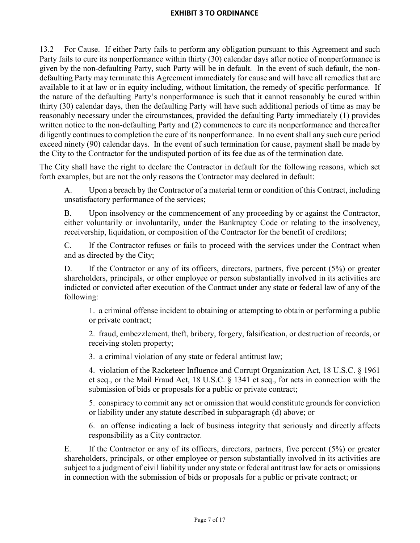13.2 For Cause. If either Party fails to perform any obligation pursuant to this Agreement and such Party fails to cure its nonperformance within thirty (30) calendar days after notice of nonperformance is given by the non-defaulting Party, such Party will be in default. In the event of such default, the nondefaulting Party may terminate this Agreement immediately for cause and will have all remedies that are available to it at law or in equity including, without limitation, the remedy of specific performance. If the nature of the defaulting Party's nonperformance is such that it cannot reasonably be cured within thirty (30) calendar days, then the defaulting Party will have such additional periods of time as may be reasonably necessary under the circumstances, provided the defaulting Party immediately (1) provides written notice to the non-defaulting Party and (2) commences to cure its nonperformance and thereafter diligently continues to completion the cure of its nonperformance. In no event shall any such cure period exceed ninety (90) calendar days. In the event of such termination for cause, payment shall be made by the City to the Contractor for the undisputed portion of its fee due as of the termination date.

The City shall have the right to declare the Contractor in default for the following reasons, which set forth examples, but are not the only reasons the Contractor may declared in default:

A. Upon a breach by the Contractor of a material term or condition of this Contract, including unsatisfactory performance of the services;

B. Upon insolvency or the commencement of any proceeding by or against the Contractor, either voluntarily or involuntarily, under the Bankruptcy Code or relating to the insolvency, receivership, liquidation, or composition of the Contractor for the benefit of creditors;

C. If the Contractor refuses or fails to proceed with the services under the Contract when and as directed by the City;

D. If the Contractor or any of its officers, directors, partners, five percent (5%) or greater shareholders, principals, or other employee or person substantially involved in its activities are indicted or convicted after execution of the Contract under any state or federal law of any of the following:

1. a criminal offense incident to obtaining or attempting to obtain or performing a public or private contract;

2. fraud, embezzlement, theft, bribery, forgery, falsification, or destruction of records, or receiving stolen property;

3. a criminal violation of any state or federal antitrust law;

4. violation of the Racketeer Influence and Corrupt Organization Act, 18 U.S.C. § 1961 et seq., or the Mail Fraud Act, 18 U.S.C. § 1341 et seq., for acts in connection with the submission of bids or proposals for a public or private contract;

5. conspiracy to commit any act or omission that would constitute grounds for conviction or liability under any statute described in subparagraph (d) above; or

6. an offense indicating a lack of business integrity that seriously and directly affects responsibility as a City contractor.

E. If the Contractor or any of its officers, directors, partners, five percent (5%) or greater shareholders, principals, or other employee or person substantially involved in its activities are subject to a judgment of civil liability under any state or federal antitrust law for acts or omissions in connection with the submission of bids or proposals for a public or private contract; or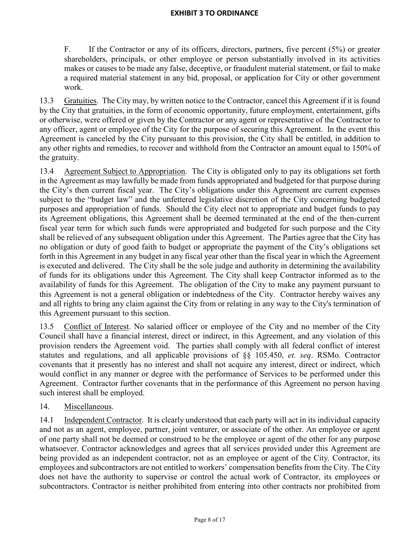F. If the Contractor or any of its officers, directors, partners, five percent (5%) or greater shareholders, principals, or other employee or person substantially involved in its activities makes or causes to be made any false, deceptive, or fraudulent material statement, or fail to make a required material statement in any bid, proposal, or application for City or other government work.

13.3 Gratuities. The City may, by written notice to the Contractor, cancel this Agreement if it is found by the City that gratuities, in the form of economic opportunity, future employment, entertainment, gifts or otherwise, were offered or given by the Contractor or any agent or representative of the Contractor to any officer, agent or employee of the City for the purpose of securing this Agreement. In the event this Agreement is canceled by the City pursuant to this provision, the City shall be entitled, in addition to any other rights and remedies, to recover and withhold from the Contractor an amount equal to 150% of the gratuity.

13.4 Agreement Subject to Appropriation. The City is obligated only to pay its obligations set forth in the Agreement as may lawfully be made from funds appropriated and budgeted for that purpose during the City's then current fiscal year. The City's obligations under this Agreement are current expenses subject to the "budget law" and the unfettered legislative discretion of the City concerning budgeted purposes and appropriation of funds. Should the City elect not to appropriate and budget funds to pay its Agreement obligations, this Agreement shall be deemed terminated at the end of the then-current fiscal year term for which such funds were appropriated and budgeted for such purpose and the City shall be relieved of any subsequent obligation under this Agreement. The Parties agree that the City has no obligation or duty of good faith to budget or appropriate the payment of the City's obligations set forth in this Agreement in any budget in any fiscal year other than the fiscal year in which the Agreement is executed and delivered. The City shall be the sole judge and authority in determining the availability of funds for its obligations under this Agreement. The City shall keep Contractor informed as to the availability of funds for this Agreement. The obligation of the City to make any payment pursuant to this Agreement is not a general obligation or indebtedness of the City. Contractor hereby waives any and all rights to bring any claim against the City from or relating in any way to the City's termination of this Agreement pursuant to this section.

13.5 Conflict of Interest. No salaried officer or employee of the City and no member of the City Council shall have a financial interest, direct or indirect, in this Agreement, and any violation of this provision renders the Agreement void. The parties shall comply with all federal conflict of interest statutes and regulations, and all applicable provisions of §§ 105.450, *et. seq*. RSMo. Contractor covenants that it presently has no interest and shall not acquire any interest, direct or indirect, which would conflict in any manner or degree with the performance of Services to be performed under this Agreement. Contractor further covenants that in the performance of this Agreement no person having such interest shall be employed.

14. Miscellaneous.

14.1 Independent Contractor. It is clearly understood that each party will act in its individual capacity and not as an agent, employee, partner, joint venturer, or associate of the other. An employee or agent of one party shall not be deemed or construed to be the employee or agent of the other for any purpose whatsoever. Contractor acknowledges and agrees that all services provided under this Agreement are being provided as an independent contractor, not as an employee or agent of the City. Contractor, its employees and subcontractors are not entitled to workers' compensation benefits from the City. The City does not have the authority to supervise or control the actual work of Contractor, its employees or subcontractors. Contractor is neither prohibited from entering into other contracts nor prohibited from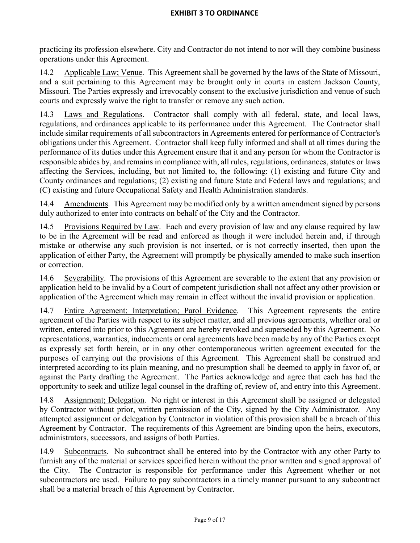practicing its profession elsewhere. City and Contractor do not intend to nor will they combine business operations under this Agreement.

14.2 Applicable Law; Venue. This Agreement shall be governed by the laws of the State of Missouri, and a suit pertaining to this Agreement may be brought only in courts in eastern Jackson County, Missouri. The Parties expressly and irrevocably consent to the exclusive jurisdiction and venue of such courts and expressly waive the right to transfer or remove any such action.

14.3 Laws and Regulations. Contractor shall comply with all federal, state, and local laws, regulations, and ordinances applicable to its performance under this Agreement. The Contractor shall include similar requirements of all subcontractors in Agreements entered for performance of Contractor's obligations under this Agreement. Contractor shall keep fully informed and shall at all times during the performance of its duties under this Agreement ensure that it and any person for whom the Contractor is responsible abides by, and remains in compliance with, all rules, regulations, ordinances, statutes or laws affecting the Services, including, but not limited to, the following: (1) existing and future City and County ordinances and regulations; (2) existing and future State and Federal laws and regulations; and (C) existing and future Occupational Safety and Health Administration standards.

14.4 Amendments. This Agreement may be modified only by a written amendment signed by persons duly authorized to enter into contracts on behalf of the City and the Contractor.

14.5 Provisions Required by Law. Each and every provision of law and any clause required by law to be in the Agreement will be read and enforced as though it were included herein and, if through mistake or otherwise any such provision is not inserted, or is not correctly inserted, then upon the application of either Party, the Agreement will promptly be physically amended to make such insertion or correction.

14.6 Severability. The provisions of this Agreement are severable to the extent that any provision or application held to be invalid by a Court of competent jurisdiction shall not affect any other provision or application of the Agreement which may remain in effect without the invalid provision or application.

14.7 Entire Agreement; Interpretation; Parol Evidence. This Agreement represents the entire agreement of the Parties with respect to its subject matter, and all previous agreements, whether oral or written, entered into prior to this Agreement are hereby revoked and superseded by this Agreement. No representations, warranties, inducements or oral agreements have been made by any of the Parties except as expressly set forth herein, or in any other contemporaneous written agreement executed for the purposes of carrying out the provisions of this Agreement. This Agreement shall be construed and interpreted according to its plain meaning, and no presumption shall be deemed to apply in favor of, or against the Party drafting the Agreement. The Parties acknowledge and agree that each has had the opportunity to seek and utilize legal counsel in the drafting of, review of, and entry into this Agreement.

14.8 Assignment; Delegation. No right or interest in this Agreement shall be assigned or delegated by Contractor without prior, written permission of the City, signed by the City Administrator. Any attempted assignment or delegation by Contractor in violation of this provision shall be a breach of this Agreement by Contractor. The requirements of this Agreement are binding upon the heirs, executors, administrators, successors, and assigns of both Parties.

14.9 Subcontracts. No subcontract shall be entered into by the Contractor with any other Party to furnish any of the material or services specified herein without the prior written and signed approval of the City. The Contractor is responsible for performance under this Agreement whether or not subcontractors are used. Failure to pay subcontractors in a timely manner pursuant to any subcontract shall be a material breach of this Agreement by Contractor.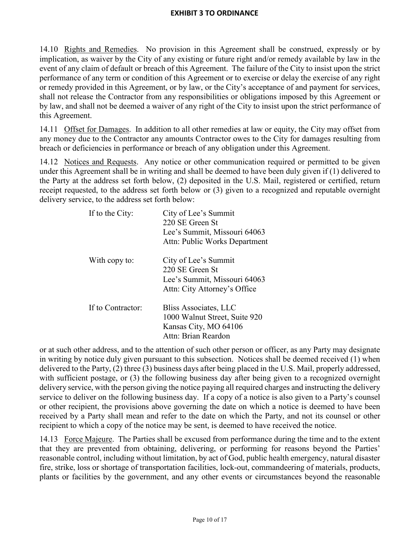14.10 Rights and Remedies. No provision in this Agreement shall be construed, expressly or by implication, as waiver by the City of any existing or future right and/or remedy available by law in the event of any claim of default or breach of this Agreement. The failure of the City to insist upon the strict performance of any term or condition of this Agreement or to exercise or delay the exercise of any right or remedy provided in this Agreement, or by law, or the City's acceptance of and payment for services, shall not release the Contractor from any responsibilities or obligations imposed by this Agreement or by law, and shall not be deemed a waiver of any right of the City to insist upon the strict performance of this Agreement.

14.11 Offset for Damages. In addition to all other remedies at law or equity, the City may offset from any money due to the Contractor any amounts Contractor owes to the City for damages resulting from breach or deficiencies in performance or breach of any obligation under this Agreement.

14.12 Notices and Requests. Any notice or other communication required or permitted to be given under this Agreement shall be in writing and shall be deemed to have been duly given if (1) delivered to the Party at the address set forth below, (2) deposited in the U.S. Mail, registered or certified, return receipt requested, to the address set forth below or (3) given to a recognized and reputable overnight delivery service, to the address set forth below:

| If to the City:   | City of Lee's Summit<br>220 SE Green St<br>Lee's Summit, Missouri 64063<br>Attn: Public Works Department |
|-------------------|----------------------------------------------------------------------------------------------------------|
| With copy to:     | City of Lee's Summit<br>220 SE Green St<br>Lee's Summit, Missouri 64063<br>Attn: City Attorney's Office  |
| If to Contractor: | Bliss Associates, LLC<br>1000 Walnut Street, Suite 920<br>Kansas City, MO 64106<br>Attn: Brian Reardon   |

or at such other address, and to the attention of such other person or officer, as any Party may designate in writing by notice duly given pursuant to this subsection. Notices shall be deemed received (1) when delivered to the Party, (2) three (3) business days after being placed in the U.S. Mail, properly addressed, with sufficient postage, or (3) the following business day after being given to a recognized overnight delivery service, with the person giving the notice paying all required charges and instructing the delivery service to deliver on the following business day. If a copy of a notice is also given to a Party's counsel or other recipient, the provisions above governing the date on which a notice is deemed to have been received by a Party shall mean and refer to the date on which the Party, and not its counsel or other recipient to which a copy of the notice may be sent, is deemed to have received the notice.

14.13 Force Majeure. The Parties shall be excused from performance during the time and to the extent that they are prevented from obtaining, delivering, or performing for reasons beyond the Parties' reasonable control, including without limitation, by act of God, public health emergency, natural disaster fire, strike, loss or shortage of transportation facilities, lock-out, commandeering of materials, products, plants or facilities by the government, and any other events or circumstances beyond the reasonable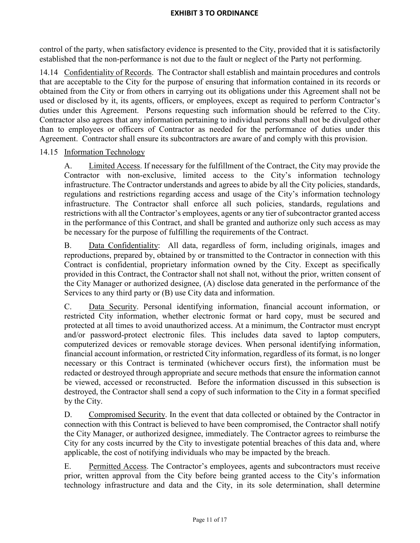control of the party, when satisfactory evidence is presented to the City, provided that it is satisfactorily established that the non-performance is not due to the fault or neglect of the Party not performing.

14.14 Confidentiality of Records. The Contractor shall establish and maintain procedures and controls that are acceptable to the City for the purpose of ensuring that information contained in its records or obtained from the City or from others in carrying out its obligations under this Agreement shall not be used or disclosed by it, its agents, officers, or employees, except as required to perform Contractor's duties under this Agreement. Persons requesting such information should be referred to the City. Contractor also agrees that any information pertaining to individual persons shall not be divulged other than to employees or officers of Contractor as needed for the performance of duties under this Agreement. Contractor shall ensure its subcontractors are aware of and comply with this provision.

# 14.15 Information Technology

A. Limited Access. If necessary for the fulfillment of the Contract, the City may provide the Contractor with non-exclusive, limited access to the City's information technology infrastructure. The Contractor understands and agrees to abide by all the City policies, standards, regulations and restrictions regarding access and usage of the City's information technology infrastructure. The Contractor shall enforce all such policies, standards, regulations and restrictions with all the Contractor's employees, agents or any tier of subcontractor granted access in the performance of this Contract, and shall be granted and authorize only such access as may be necessary for the purpose of fulfilling the requirements of the Contract.

B. Data Confidentiality: All data, regardless of form, including originals, images and reproductions, prepared by, obtained by or transmitted to the Contractor in connection with this Contract is confidential, proprietary information owned by the City. Except as specifically provided in this Contract, the Contractor shall not shall not, without the prior, written consent of the City Manager or authorized designee, (A) disclose data generated in the performance of the Services to any third party or (B) use City data and information.

C. Data Security. Personal identifying information, financial account information, or restricted City information, whether electronic format or hard copy, must be secured and protected at all times to avoid unauthorized access. At a minimum, the Contractor must encrypt and/or password-protect electronic files. This includes data saved to laptop computers, computerized devices or removable storage devices. When personal identifying information, financial account information, or restricted City information, regardless of its format, is no longer necessary or this Contract is terminated (whichever occurs first), the information must be redacted or destroyed through appropriate and secure methods that ensure the information cannot be viewed, accessed or reconstructed. Before the information discussed in this subsection is destroyed, the Contractor shall send a copy of such information to the City in a format specified by the City.

D. Compromised Security. In the event that data collected or obtained by the Contractor in connection with this Contract is believed to have been compromised, the Contractor shall notify the City Manager, or authorized designee, immediately. The Contractor agrees to reimburse the City for any costs incurred by the City to investigate potential breaches of this data and, where applicable, the cost of notifying individuals who may be impacted by the breach.

E. Permitted Access. The Contractor's employees, agents and subcontractors must receive prior, written approval from the City before being granted access to the City's information technology infrastructure and data and the City, in its sole determination, shall determine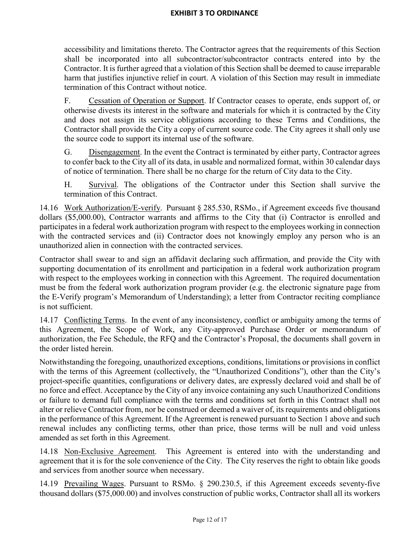accessibility and limitations thereto. The Contractor agrees that the requirements of this Section shall be incorporated into all subcontractor/subcontractor contracts entered into by the Contractor. It is further agreed that a violation of this Section shall be deemed to cause irreparable harm that justifies injunctive relief in court. A violation of this Section may result in immediate termination of this Contract without notice.

F. Cessation of Operation or Support. If Contractor ceases to operate, ends support of, or otherwise divests its interest in the software and materials for which it is contracted by the City and does not assign its service obligations according to these Terms and Conditions, the Contractor shall provide the City a copy of current source code. The City agrees it shall only use the source code to support its internal use of the software.

G. Disengagement. In the event the Contract is terminated by either party, Contractor agrees to confer back to the City all of its data, in usable and normalized format, within 30 calendar days of notice of termination. There shall be no charge for the return of City data to the City.

H. Survival. The obligations of the Contractor under this Section shall survive the termination of this Contract.

14.16 Work Authorization/E-verify. Pursuant § 285.530, RSMo., if Agreement exceeds five thousand dollars (\$5,000.00), Contractor warrants and affirms to the City that (i) Contractor is enrolled and participates in a federal work authorization program with respect to the employees working in connection with the contracted services and (ii) Contractor does not knowingly employ any person who is an unauthorized alien in connection with the contracted services.

Contractor shall swear to and sign an affidavit declaring such affirmation, and provide the City with supporting documentation of its enrollment and participation in a federal work authorization program with respect to the employees working in connection with this Agreement. The required documentation must be from the federal work authorization program provider (e.g. the electronic signature page from the E-Verify program's Memorandum of Understanding); a letter from Contractor reciting compliance is not sufficient.

14.17 Conflicting Terms. In the event of any inconsistency, conflict or ambiguity among the terms of this Agreement, the Scope of Work, any City-approved Purchase Order or memorandum of authorization, the Fee Schedule, the RFQ and the Contractor's Proposal, the documents shall govern in the order listed herein.

Notwithstanding the foregoing, unauthorized exceptions, conditions, limitations or provisions in conflict with the terms of this Agreement (collectively, the "Unauthorized Conditions"), other than the City's project-specific quantities, configurations or delivery dates, are expressly declared void and shall be of no force and effect. Acceptance by the City of any invoice containing any such Unauthorized Conditions or failure to demand full compliance with the terms and conditions set forth in this Contract shall not alter or relieve Contractor from, nor be construed or deemed a waiver of, its requirements and obligations in the performance of this Agreement. If the Agreement is renewed pursuant to Section 1 above and such renewal includes any conflicting terms, other than price, those terms will be null and void unless amended as set forth in this Agreement.

14.18 Non-Exclusive Agreement. This Agreement is entered into with the understanding and agreement that it is for the sole convenience of the City. The City reserves the right to obtain like goods and services from another source when necessary.

14.19 Prevailing Wages. Pursuant to RSMo. § 290.230.5, if this Agreement exceeds seventy-five thousand dollars (\$75,000.00) and involves construction of public works, Contractor shall all its workers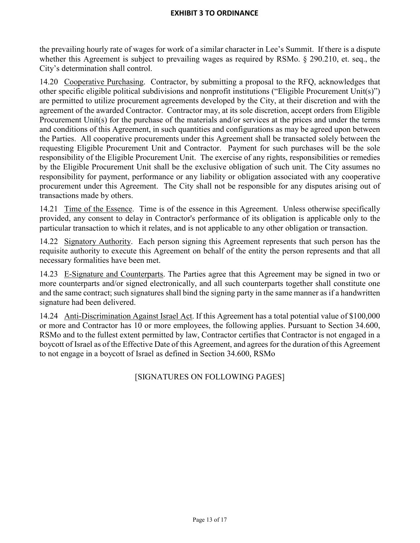the prevailing hourly rate of wages for work of a similar character in Lee's Summit. If there is a dispute whether this Agreement is subject to prevailing wages as required by RSMo. § 290.210, et. seq., the City's determination shall control.

14.20 Cooperative Purchasing. Contractor, by submitting a proposal to the RFQ, acknowledges that other specific eligible political subdivisions and nonprofit institutions ("Eligible Procurement Unit(s)") are permitted to utilize procurement agreements developed by the City, at their discretion and with the agreement of the awarded Contractor. Contractor may, at its sole discretion, accept orders from Eligible Procurement Unit(s) for the purchase of the materials and/or services at the prices and under the terms and conditions of this Agreement, in such quantities and configurations as may be agreed upon between the Parties. All cooperative procurements under this Agreement shall be transacted solely between the requesting Eligible Procurement Unit and Contractor. Payment for such purchases will be the sole responsibility of the Eligible Procurement Unit. The exercise of any rights, responsibilities or remedies by the Eligible Procurement Unit shall be the exclusive obligation of such unit. The City assumes no responsibility for payment, performance or any liability or obligation associated with any cooperative procurement under this Agreement. The City shall not be responsible for any disputes arising out of transactions made by others.

14.21 Time of the Essence. Time is of the essence in this Agreement. Unless otherwise specifically provided, any consent to delay in Contractor's performance of its obligation is applicable only to the particular transaction to which it relates, and is not applicable to any other obligation or transaction.

14.22 Signatory Authority. Each person signing this Agreement represents that such person has the requisite authority to execute this Agreement on behalf of the entity the person represents and that all necessary formalities have been met.

14.23 E-Signature and Counterparts. The Parties agree that this Agreement may be signed in two or more counterparts and/or signed electronically, and all such counterparts together shall constitute one and the same contract; such signatures shall bind the signing party in the same manner as if a handwritten signature had been delivered.

14.24 Anti-Discrimination Against Israel Act. If this Agreement has a total potential value of \$100,000 or more and Contractor has 10 or more employees, the following applies. Pursuant to Section 34.600, RSMo and to the fullest extent permitted by law, Contractor certifies that Contractor is not engaged in a boycott of Israel as of the Effective Date of this Agreement, and agrees for the duration of this Agreement to not engage in a boycott of Israel as defined in Section 34.600, RSMo

[SIGNATURES ON FOLLOWING PAGES]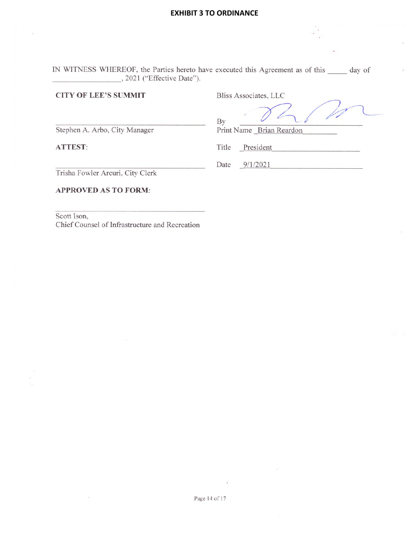IN WITNESS WHEREOF, the Parties hereto have executed this Agreement as of this day of . 2021 ("Effective Date").

#### **CITY OF LEE'S SUMMIT**

Bliss Associates, LLC

By Print Name Brian Reardon

Stephen A. Arbo, City Manager

**ATTEST:** 

Title President

 $9/1/2021$ 

Date

Trisha Fowler Arcuri, City Clerk

**APPROVED AS TO FORM:** 

Scott Ison, Chief Counsel of Infrastructure and Recreation

Page 14 of 17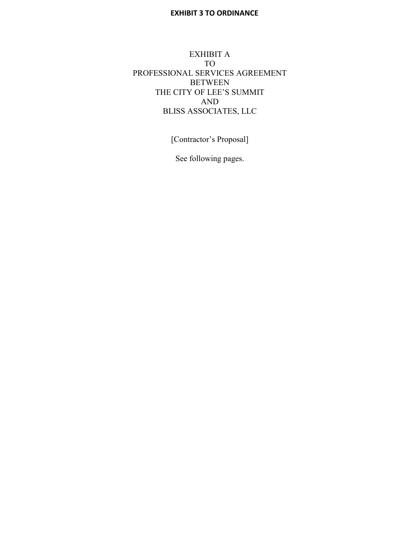# EXHIBIT A TO PROFESSIONAL SERVICES AGREEMENT BETWEEN THE CITY OF LEE'S SUMMIT AND BLISS ASSOCIATES, LLC

[Contractor's Proposal]

See following pages.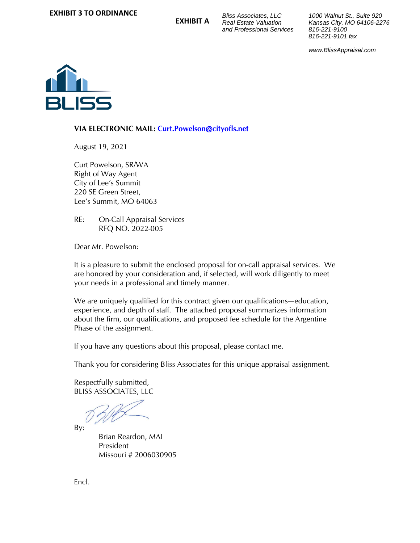**EXHIBIT A**

*Bliss Associates, LLC 1000 Walnut St., Suite 920*  $and$  Professional Services

*Real Estate Valuation Kansas City, MO 64106-2276 816-221-9101 fax*

*www.BlissAppraisal.com*



# **VIA ELECTRONIC MAIL: [Curt.Powelson@cityofls.net](mailto:Curt.Powelson@cityofls.net)**

August 19, 2021

Curt Powelson, SR/WA Right of Way Agent City of Lee's Summit 220 SE Green Street, Lee's Summit, MO 64063

RE: On-Call Appraisal Services RFQ NO. 2022-005

Dear Mr. Powelson:

It is a pleasure to submit the enclosed proposal for on-call appraisal services. We are honored by your consideration and, if selected, will work diligently to meet your needs in a professional and timely manner.

We are uniquely qualified for this contract given our qualifications—education, experience, and depth of staff. The attached proposal summarizes information about the firm, our qualifications, and proposed fee schedule for the Argentine Phase of the assignment.

If you have any questions about this proposal, please contact me.

Thank you for considering Bliss Associates for this unique appraisal assignment.

Respectfully submitted, BLISS ASSOCIATES, LLC

By:

Brian Reardon, MAI President Missouri # 2006030905

Encl.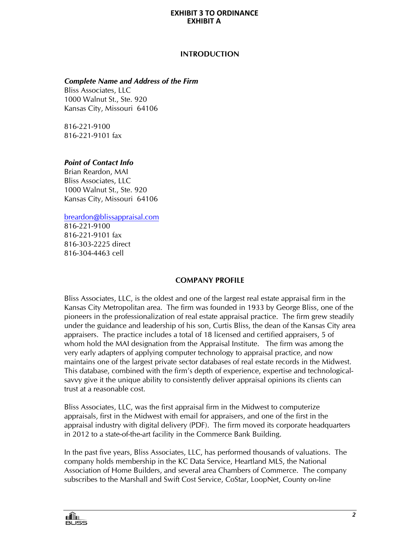#### **INTRODUCTION**

#### *Complete Name and Address of the Firm*

Bliss Associates, LLC 1000 Walnut St., Ste. 920 Kansas City, Missouri 64106

816-221-9100 816-221-9101 fax

### *Point of Contact Info*

Brian Reardon, MAI Bliss Associates, LLC 1000 Walnut St., Ste. 920 Kansas City, Missouri 64106

[breardon@blissappraisal.com](mailto:breardon@blissappraisal.com)

816-221-9100 816-221-9101 fax 816-303-2225 direct 816-304-4463 cell

### **COMPANY PROFILE**

Bliss Associates, LLC, is the oldest and one of the largest real estate appraisal firm in the Kansas City Metropolitan area. The firm was founded in 1933 by George Bliss, one of the pioneers in the professionalization of real estate appraisal practice. The firm grew steadily under the guidance and leadership of his son, Curtis Bliss, the dean of the Kansas City area appraisers. The practice includes a total of 18 licensed and certified appraisers, 5 of whom hold the MAI designation from the Appraisal Institute. The firm was among the very early adapters of applying computer technology to appraisal practice, and now maintains one of the largest private sector databases of real estate records in the Midwest. This database, combined with the firm's depth of experience, expertise and technologicalsavvy give it the unique ability to consistently deliver appraisal opinions its clients can trust at a reasonable cost.

Bliss Associates, LLC, was the first appraisal firm in the Midwest to computerize appraisals, first in the Midwest with email for appraisers, and one of the first in the appraisal industry with digital delivery (PDF). The firm moved its corporate headquarters in 2012 to a state-of-the-art facility in the Commerce Bank Building.

In the past five years, Bliss Associates, LLC, has performed thousands of valuations. The company holds membership in the KC Data Service, Heartland MLS, the National Association of Home Builders, and several area Chambers of Commerce. The company subscribes to the Marshall and Swift Cost Service, CoStar, LoopNet, County on-line

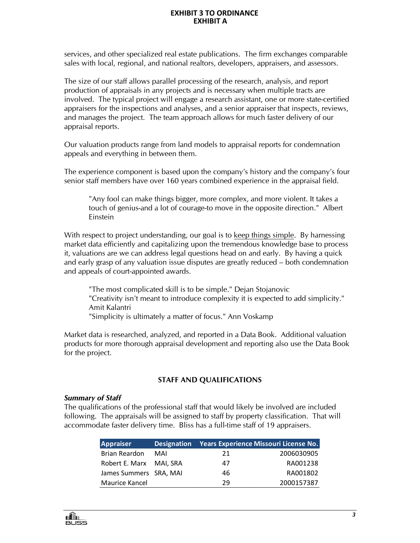services, and other specialized real estate publications. The firm exchanges comparable sales with local, regional, and national realtors, developers, appraisers, and assessors.

The size of our staff allows parallel processing of the research, analysis, and report production of appraisals in any projects and is necessary when multiple tracts are involved. The typical project will engage a research assistant, one or more state-certified appraisers for the inspections and analyses, and a senior appraiser that inspects, reviews, and manages the project. The team approach allows for much faster delivery of our appraisal reports.

Our valuation products range from land models to appraisal reports for condemnation appeals and everything in between them.

The experience component is based upon the company's history and the company's four senior staff members have over 160 years combined experience in the appraisal field.

"Any fool can make things bigger, more complex, and more violent. It takes a touch of genius-and a lot of courage-to move in the opposite direction." Albert Einstein

With respect to project understanding, our goal is to keep things simple. By harnessing market data efficiently and capitalizing upon the tremendous knowledge base to process it, valuations are we can address legal questions head on and early. By having a quick and early grasp of any valuation issue disputes are greatly reduced – both condemnation and appeals of court-appointed awards.

"The most complicated skill is to be simple." Dejan Stojanovic "Creativity isn't meant to introduce complexity it is expected to add simplicity." Amit Kalantri "Simplicity is ultimately a matter of focus." Ann Voskamp

Market data is researched, analyzed, and reported in a Data Book. Additional valuation products for more thorough appraisal development and reporting also use the Data Book for the project.

### **STAFF AND QUALIFICATIONS**

### *Summary of Staff*

The qualifications of the professional staff that would likely be involved are included following. The appraisals will be assigned to staff by property classification. That will accommodate faster delivery time. Bliss has a full-time staff of 19 appraisers.

| <b>Appraiser</b>        |     |    | Designation Years Experience Missouri License No. |
|-------------------------|-----|----|---------------------------------------------------|
| Brian Reardon           | MAI | 21 | 2006030905                                        |
| Robert E. Marx MAI, SRA |     | 47 | RA001238                                          |
| James Summers SRA, MAI  |     | 46 | RA001802                                          |
| Maurice Kancel          |     | 29 | 2000157387                                        |

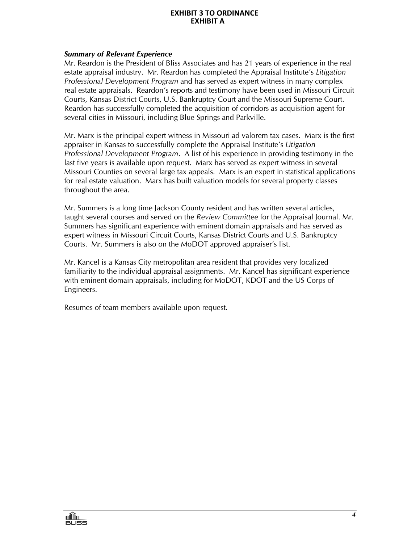#### *Summary of Relevant Experience*

Mr. Reardon is the President of Bliss Associates and has 21 years of experience in the real estate appraisal industry. Mr. Reardon has completed the Appraisal Institute's *Litigation Professional Development Program* and has served as expert witness in many complex real estate appraisals. Reardon's reports and testimony have been used in Missouri Circuit Courts, Kansas District Courts, U.S. Bankruptcy Court and the Missouri Supreme Court. Reardon has successfully completed the acquisition of corridors as acquisition agent for several cities in Missouri, including Blue Springs and Parkville.

Mr. Marx is the principal expert witness in Missouri ad valorem tax cases. Marx is the first appraiser in Kansas to successfully complete the Appraisal Institute's *Litigation Professional Development Program*. A list of his experience in providing testimony in the last five years is available upon request. Marx has served as expert witness in several Missouri Counties on several large tax appeals. Marx is an expert in statistical applications for real estate valuation. Marx has built valuation models for several property classes throughout the area.

Mr. Summers is a long time Jackson County resident and has written several articles, taught several courses and served on the *Review Committee* for the Appraisal Journal. Mr. Summers has significant experience with eminent domain appraisals and has served as expert witness in Missouri Circuit Courts, Kansas District Courts and U.S. Bankruptcy Courts. Mr. Summers is also on the MoDOT approved appraiser's list.

Mr. Kancel is a Kansas City metropolitan area resident that provides very localized familiarity to the individual appraisal assignments. Mr. Kancel has significant experience with eminent domain appraisals, including for MoDOT, KDOT and the US Corps of Engineers.

Resumes of team members available upon request.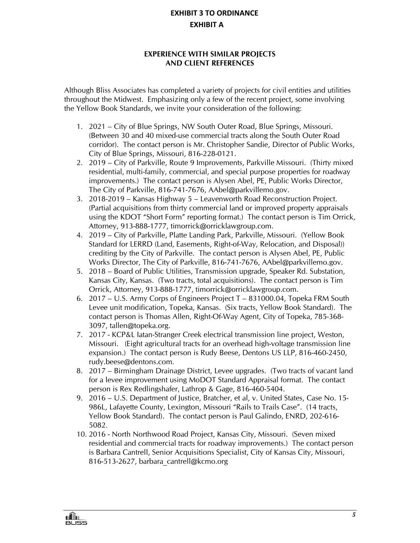# **EXPERIENCE WITH SIMILAR PROJECTS AND CLIENT REFERENCES**

Although Bliss Associates has completed a variety of projects for civil entities and utilities throughout the Midwest. Emphasizing only a few of the recent project, some involving the Yellow Book Standards, we invite your consideration of the following:

- 1. 2021 City of Blue Springs, NW South Outer Road, Blue Springs, Missouri. (Between 30 and 40 mixed-use commercial tracts along the South Outer Road corridor). The contact person is Mr. Christopher Sandie, Director of Public Works, City of Blue Springs, Missouri, 816-228-0121.
- 2. 2019 City of Parkville, Route 9 Improvements, Parkville Missouri. (Thirty mixed residential, multi-family, commercial, and special purpose properties for roadway improvements.) The contact person is Alysen Abel, PE, Public Works Director, The City of Parkville, 816-741-7676, AAbel@parkvillemo.gov.
- 3. 2018-2019 Kansas Highway 5 Leavenworth Road Reconstruction Project. (Partial acquisitions from thirty commercial land or improved property appraisals using the KDOT "Short Form" reporting format.) The contact person is Tim Orrick, Attorney, 913-888-1777, timorrick@orricklawgroup.com.
- 4. 2019 City of Parkville, Platte Landing Park, Parkville, Missouri. (Yellow Book Standard for LERRD (Land, Easements, Right-of-Way, Relocation, and Disposal)) crediting by the City of Parkville. The contact person is Alysen Abel, PE, Public Works Director, The City of Parkville, 816-741-7676, AAbel@parkvillemo.gov.
- 5. 2018 Board of Public Utilities, Transmission upgrade, Speaker Rd. Substation, Kansas City, Kansas. (Two tracts, total acquisitions). The contact person is Tim Orrick, Attorney, 913-888-1777, timorrick@orricklawgroup.com.
- 6. 2017 U.S. Army Corps of Engineers Project T 831000.04, Topeka FRM South Levee unit modification, Topeka, Kansas. (Six tracts, Yellow Book Standard). The contact person is Thomas Allen, Right-Of-Way Agent, City of Topeka, 785-368- 3097, tallen@topeka.org.
- 7. 2017 KCP&L Iatan-Stranger Creek electrical transmission line project, Weston, Missouri. (Eight agricultural tracts for an overhead high-voltage transmission line expansion.) The contact person is Rudy Beese, Dentons US LLP, 816-460-2450, rudy.beese@dentons.com.
- 8. 2017 Birmingham Drainage District, Levee upgrades. (Two tracts of vacant land for a levee improvement using MoDOT Standard Appraisal format. The contact person is Rex Redlingshafer, Lathrop & Gage, 816-460-5404.
- 9. 2016 U.S. Department of Justice, Bratcher, et al, v. United States, Case No. 15- 986L, Lafayette County, Lexington, Missouri "Rails to Trails Case". (14 tracts, Yellow Book Standard). The contact person is Paul Galindo, ENRD, 202-616- 5082.
- 10. 2016 North Northwood Road Project, Kansas City, Missouri. (Seven mixed residential and commercial tracts for roadway improvements.) The contact person is Barbara Cantrell, Senior Acquisitions Specialist, City of Kansas City, Missouri, 816-513-2627, barbara\_cantrell@kcmo.org

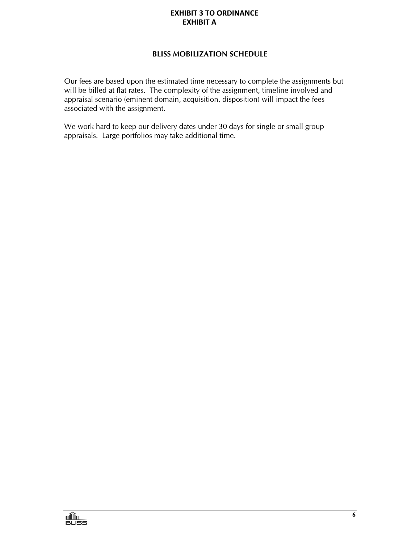#### **BLISS MOBILIZATION SCHEDULE**

Our fees are based upon the estimated time necessary to complete the assignments but will be billed at flat rates. The complexity of the assignment, timeline involved and appraisal scenario (eminent domain, acquisition, disposition) will impact the fees associated with the assignment.

We work hard to keep our delivery dates under 30 days for single or small group appraisals. Large portfolios may take additional time.

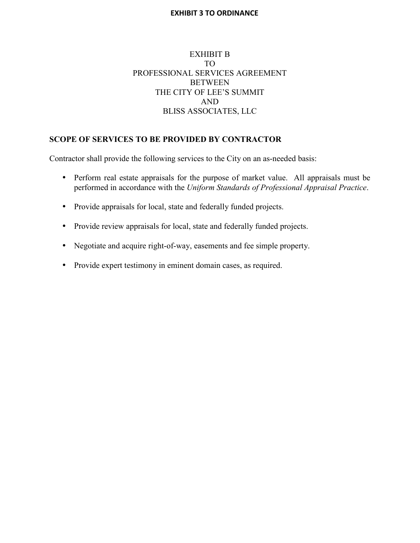# EXHIBIT B TO PROFESSIONAL SERVICES AGREEMENT BETWEEN THE CITY OF LEE'S SUMMIT AND BLISS ASSOCIATES, LLC

### **SCOPE OF SERVICES TO BE PROVIDED BY CONTRACTOR**

Contractor shall provide the following services to the City on an as-needed basis:

- Perform real estate appraisals for the purpose of market value. All appraisals must be performed in accordance with the *Uniform Standards of Professional Appraisal Practice*.
- Provide appraisals for local, state and federally funded projects.
- Provide review appraisals for local, state and federally funded projects.
- Negotiate and acquire right-of-way, easements and fee simple property.
- Provide expert testimony in eminent domain cases, as required.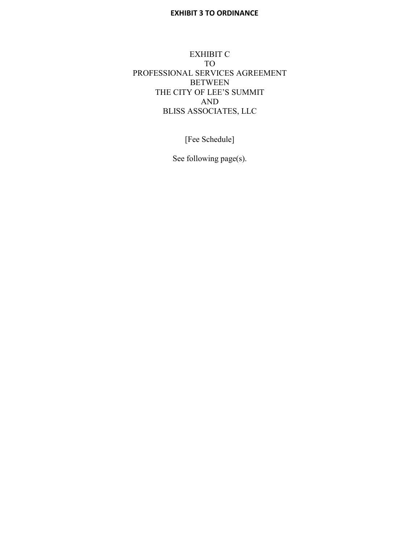# EXHIBIT C TO PROFESSIONAL SERVICES AGREEMENT BETWEEN THE CITY OF LEE'S SUMMIT AND BLISS ASSOCIATES, LLC

[Fee Schedule]

See following page(s).